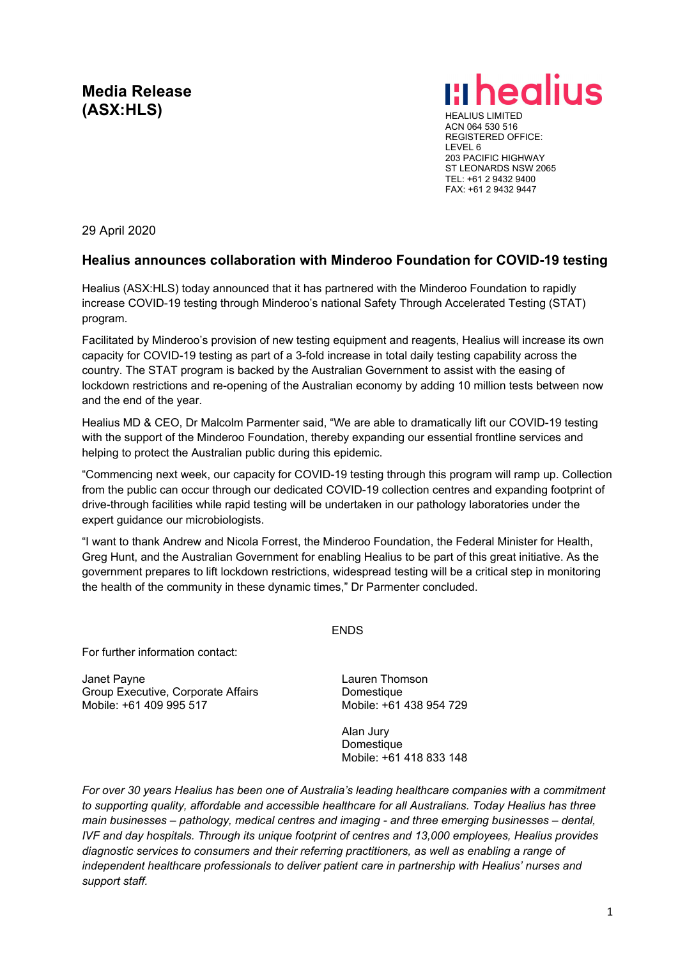# **Media Release**

**Media Release**<br>(ASX:HLS) **HEALIUS** 

ACN 064 530 516 REGISTERED OFFICE: LEVEL 6 203 PACIFIC HIGHWAY ST LEONARDS NSW 2065 TEL: +61 2 9432 9400 FAX: +61 2 9432 9447

29 April 2020

### **Healius announces collaboration with Minderoo Foundation for COVID-19 testing**

Healius (ASX:HLS) today announced that it has partnered with the Minderoo Foundation to rapidly increase COVID-19 testing through Minderoo's national Safety Through Accelerated Testing (STAT) program.

Facilitated by Minderoo's provision of new testing equipment and reagents, Healius will increase its own capacity for COVID-19 testing as part of a 3-fold increase in total daily testing capability across the country. The STAT program is backed by the Australian Government to assist with the easing of lockdown restrictions and re-opening of the Australian economy by adding 10 million tests between now and the end of the year.

Healius MD & CEO, Dr Malcolm Parmenter said, "We are able to dramatically lift our COVID-19 testing with the support of the Minderoo Foundation, thereby expanding our essential frontline services and helping to protect the Australian public during this epidemic.

"Commencing next week, our capacity for COVID-19 testing through this program will ramp up. Collection from the public can occur through our dedicated COVID-19 collection centres and expanding footprint of drive-through facilities while rapid testing will be undertaken in our pathology laboratories under the expert guidance our microbiologists.

"I want to thank Andrew and Nicola Forrest, the Minderoo Foundation, the Federal Minister for Health, Greg Hunt, and the Australian Government for enabling Healius to be part of this great initiative. As the government prepares to lift lockdown restrictions, widespread testing will be a critical step in monitoring the health of the community in these dynamic times," Dr Parmenter concluded.

ENDS

For further information contact:

Janet Payne Group Executive, Corporate Affairs Mobile: +61 409 995 517

Lauren Thomson Domestique Mobile: +61 438 954 729

Alan Jury **Domestique** Mobile: +61 418 833 148

*For over 30 years Healius has been one of Australia's leading healthcare companies with a commitment to supporting quality, affordable and accessible healthcare for all Australians. Today Healius has three main businesses – pathology, medical centres and imaging - and three emerging businesses – dental, IVF and day hospitals. Through its unique footprint of centres and 13,000 employees, Healius provides diagnostic services to consumers and their referring practitioners, as well as enabling a range of independent healthcare professionals to deliver patient care in partnership with Healius' nurses and support staff.*